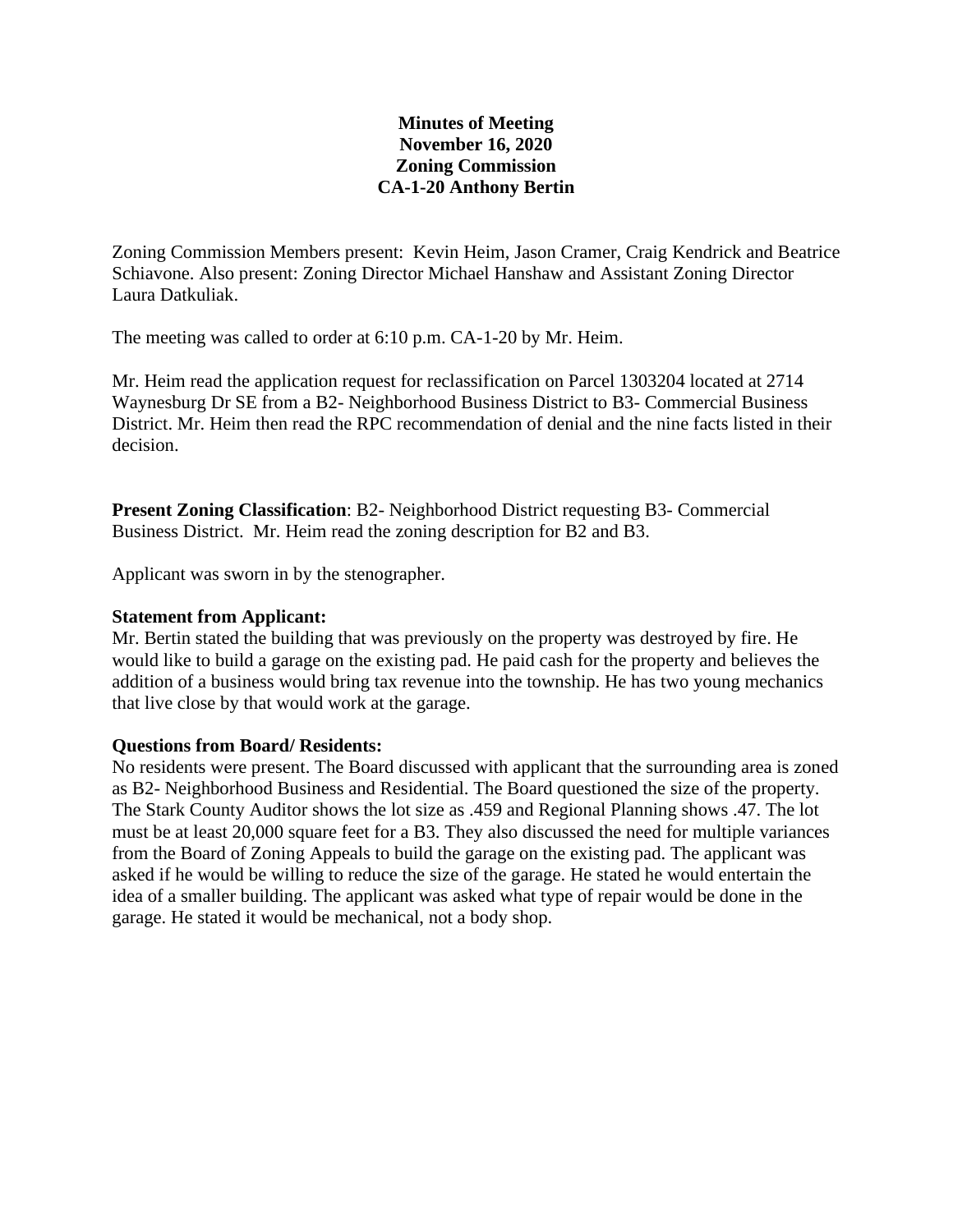# **Minutes of Meeting November 16, 2020 Zoning Commission CA-1-20 Anthony Bertin**

Zoning Commission Members present: Kevin Heim, Jason Cramer, Craig Kendrick and Beatrice Schiavone. Also present: Zoning Director Michael Hanshaw and Assistant Zoning Director Laura Datkuliak.

The meeting was called to order at 6:10 p.m. CA-1-20 by Mr. Heim.

Mr. Heim read the application request for reclassification on Parcel 1303204 located at 2714 Waynesburg Dr SE from a B2- Neighborhood Business District to B3- Commercial Business District. Mr. Heim then read the RPC recommendation of denial and the nine facts listed in their decision.

**Present Zoning Classification**: B2- Neighborhood District requesting B3- Commercial Business District. Mr. Heim read the zoning description for B2 and B3.

Applicant was sworn in by the stenographer.

#### **Statement from Applicant:**

Mr. Bertin stated the building that was previously on the property was destroyed by fire. He would like to build a garage on the existing pad. He paid cash for the property and believes the addition of a business would bring tax revenue into the township. He has two young mechanics that live close by that would work at the garage.

## **Questions from Board/ Residents:**

No residents were present. The Board discussed with applicant that the surrounding area is zoned as B2- Neighborhood Business and Residential. The Board questioned the size of the property. The Stark County Auditor shows the lot size as .459 and Regional Planning shows .47. The lot must be at least 20,000 square feet for a B3. They also discussed the need for multiple variances from the Board of Zoning Appeals to build the garage on the existing pad. The applicant was asked if he would be willing to reduce the size of the garage. He stated he would entertain the idea of a smaller building. The applicant was asked what type of repair would be done in the garage. He stated it would be mechanical, not a body shop.